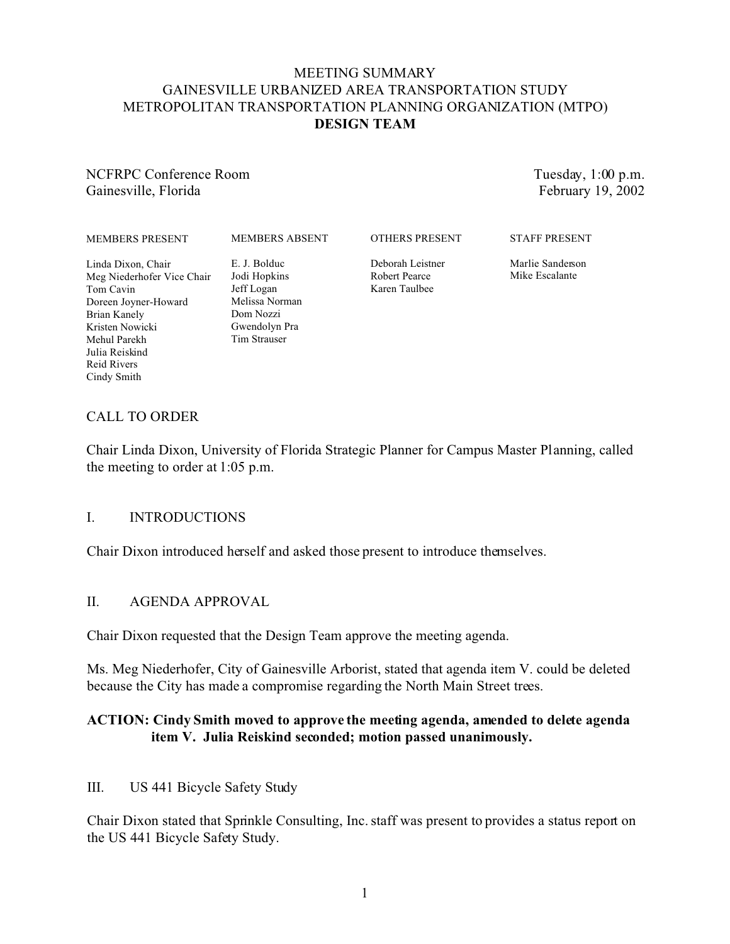### MEETING SUMMARY GAINESVILLE URBANIZED AREA TRANSPORTATION STUDY METROPOLITAN TRANSPORTATION PLANNING ORGANIZATION (MTPO) **DESIGN TEAM**

#### NCFRPC Conference Room Gainesville, Florida

Tuesday, 1:00 p.m. February 19, 2002

MEMBERS ABSENT

OTHERS PRESENT

STAFF PRESENT

Linda Dixon, Chair Meg Niederhofer Vice Chair Tom Cavin Doreen Joyner-Howard Brian Kanely Kristen Nowicki Mehul Parekh Julia Reiskind Reid Rivers Cindy Smith

E. J. Bolduc Jodi Hopkins Jeff Logan Melissa Norman Dom Nozzi Gwendolyn Pra Tim Strauser

Deborah Leistner Robert Pearce Karen Taulbee

Marlie Sanderson Mike Escalante

# CALL TO ORDER

Chair Linda Dixon, University of Florida Strategic Planner for Campus Master Planning, called the meeting to order at 1:05 p.m.

## I. INTRODUCTIONS

Chair Dixon introduced herself and asked those present to introduce themselves.

## II. AGENDA APPROVAL

Chair Dixon requested that the Design Team approve the meeting agenda.

Ms. Meg Niederhofer, City of Gainesville Arborist, stated that agenda item V. could be deleted because the City has made a compromise regarding the North Main Street trees.

### **ACTION: Cindy Smith moved to approve the meeting agenda, amended to delete agenda item V. Julia Reiskind seconded; motion passed unanimously.**

III. US 441 Bicycle Safety Study

Chair Dixon stated that Sprinkle Consulting, Inc. staff was present to provides a status report on the US 441 Bicycle Safety Study.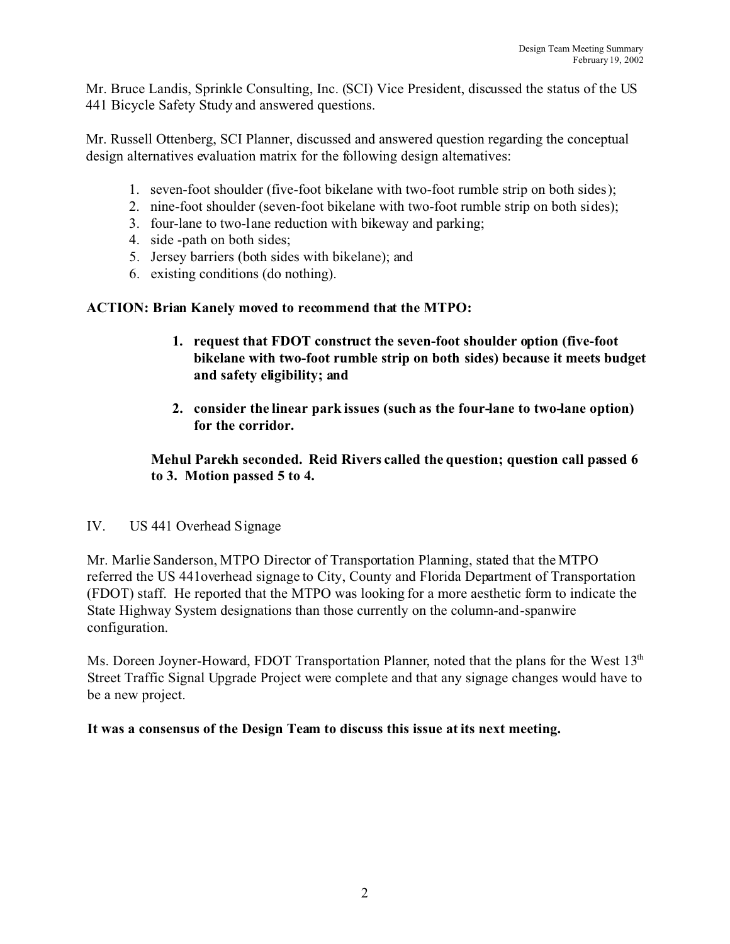Mr. Bruce Landis, Sprinkle Consulting, Inc. (SCI) Vice President, discussed the status of the US 441 Bicycle Safety Study and answered questions.

Mr. Russell Ottenberg, SCI Planner, discussed and answered question regarding the conceptual design alternatives evaluation matrix for the following design alternatives:

- 1. seven-foot shoulder (five-foot bikelane with two-foot rumble strip on both sides);
- 2. nine-foot shoulder (seven-foot bikelane with two-foot rumble strip on both sides);
- 3. four-lane to two-lane reduction with bikeway and parking;
- 4. side -path on both sides;
- 5. Jersey barriers (both sides with bikelane); and
- 6. existing conditions (do nothing).

### **ACTION: Brian Kanely moved to recommend that the MTPO:**

- **1. request that FDOT construct the seven-foot shoulder option (five-foot bikelane with two-foot rumble strip on both sides) because it meets budget and safety eligibility; and**
- **2. consider the linear park issues (such as the four-lane to two-lane option) for the corridor.**

### **Mehul Parekh seconded. Reid Rivers called the question; question call passed 6 to 3. Motion passed 5 to 4.**

IV. US 441 Overhead Signage

Mr. Marlie Sanderson, MTPO Director of Transportation Planning, stated that the MTPO referred the US 441overhead signage to City, County and Florida Department of Transportation (FDOT) staff. He reported that the MTPO was looking for a more aesthetic form to indicate the State Highway System designations than those currently on the column-and-spanwire configuration.

Ms. Doreen Joyner-Howard, FDOT Transportation Planner, noted that the plans for the West 13<sup>th</sup> Street Traffic Signal Upgrade Project were complete and that any signage changes would have to be a new project.

### **It was a consensus of the Design Team to discuss this issue at its next meeting.**